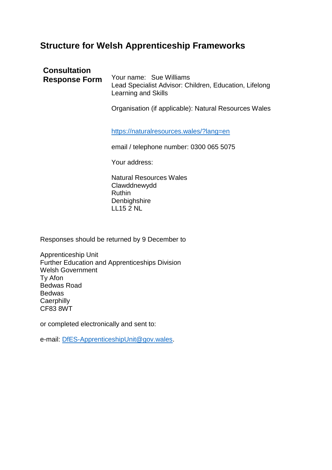## **Structure for Welsh Apprenticeship Frameworks**

| <b>Consultation</b><br><b>Response Form</b> | Your name: Sue Williams<br>Lead Specialist Advisor: Children, Education, Lifelong<br>Learning and Skills |
|---------------------------------------------|----------------------------------------------------------------------------------------------------------|
|                                             | Organisation (if applicable): Natural Resources Wales<br>https://naturalresources.wales/?lang=en         |
|                                             | email / telephone number: 0300 065 5075<br>Your address:                                                 |
|                                             | Natural Resources Wales<br>Clawddnewydd<br><b>Ruthin</b><br>Denbighshire                                 |

Responses should be returned by 9 December to

LL15 2 NL

Apprenticeship Unit Further Education and Apprenticeships Division Welsh Government Ty Afon Bedwas Road Bedwas **Caerphilly** CF83 8WT

or completed electronically and sent to:

e-mail: [DfES-ApprenticeshipUnit@gov.wales.](mailto:DfES-ApprenticeshipUnit@gov.wales)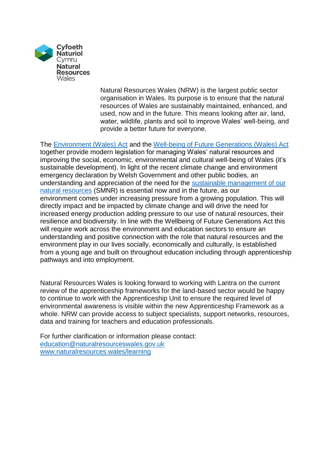

Natural Resources Wales (NRW) is the largest public sector organisation in Wales. Its purpose is to ensure that the natural resources of Wales are sustainably maintained, enhanced, and used, now and in the future. This means looking after air, land, water, wildlife, plants and soil to improve Wales' well-being, and provide a better future for everyone.

The [Environment \(Wales\) Act](https://gov.wales/topics/environmentcountryside/consmanagement/natural-resources-management/environment-act/?lang=en) and the [Well-being of Future Generations \(Wales\) Act](https://gov.wales/topics/people-and-communities/people/future-generations-act/?lang=en) together provide modern legislation for managing Wales' natural resources and improving the social, economic, environmental and cultural well-being of Wales (it's sustainable development). In light of the recent climate change and environment emergency declaration by Welsh Government and other public bodies, an understanding and appreciation of the need for the [sustainable management of our](https://www.youtube.com/watch?v=fp9SrzILnJ0&t=6s)  [natural resources](https://www.youtube.com/watch?v=fp9SrzILnJ0&t=6s) (SMNR) is essential now and in the future, as our environment comes under increasing pressure from a growing population. This will directly impact and be impacted by climate change and will drive the need for increased energy production adding pressure to our use of natural resources, their resilience and biodiversity. In line with the Wellbeing of Future Generations Act this will require work across the environment and education sectors to ensure an understanding and positive connection with the role that natural resources and the environment play in our lives socially, economically and culturally, is established from a young age and built on throughout education including through apprenticeship pathways and into employment.

Natural Resources Wales is looking forward to working with Lantra on the current review of the apprenticeship frameworks for the land-based sector would be happy to continue to work with the Apprenticeship Unit to ensure the required level of environmental awareness is visible within the new Apprenticeship Framework as a whole. NRW can provide access to subject specialists, support networks, resources, data and training for teachers and education professionals.

For further clarification or information please contact: [education@naturalresourceswales.gov.uk](mailto:education@naturalresourceswales.gov.uk) [www.naturalresources.wales/learning](http://www.naturalresources.wales/learning)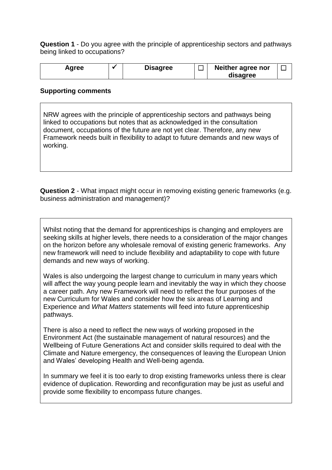**Question 1** - Do you agree with the principle of apprenticeship sectors and pathways being linked to occupations?

| Agree | <b>Disagree</b> | Neither agree nor |  |
|-------|-----------------|-------------------|--|
|       |                 | disagree          |  |

## **Supporting comments**

NRW agrees with the principle of apprenticeship sectors and pathways being linked to occupations but notes that as acknowledged in the consultation document, occupations of the future are not yet clear. Therefore, any new Framework needs built in flexibility to adapt to future demands and new ways of working.

**Question 2** - What impact might occur in removing existing generic frameworks (e.g. business administration and management)?

Whilst noting that the demand for apprenticeships is changing and employers are seeking skills at higher levels, there needs to a consideration of the major changes on the horizon before any wholesale removal of existing generic frameworks. Any new framework will need to include flexibility and adaptability to cope with future demands and new ways of working.

Wales is also undergoing the largest change to curriculum in many years which will affect the way young people learn and inevitably the way in which they choose a career path. Any new Framework will need to reflect the four purposes of the new Curriculum for Wales and consider how the six areas of Learning and Experience and *What Matters* statements will feed into future apprenticeship pathways.

There is also a need to reflect the new ways of working proposed in the Environment Act (the sustainable management of natural resources) and the Wellbeing of Future Generations Act and consider skills required to deal with the Climate and Nature emergency, the consequences of leaving the European Union and Wales' developing Health and Well-being agenda.

In summary we feel it is too early to drop existing frameworks unless there is clear evidence of duplication. Rewording and reconfiguration may be just as useful and provide some flexibility to encompass future changes.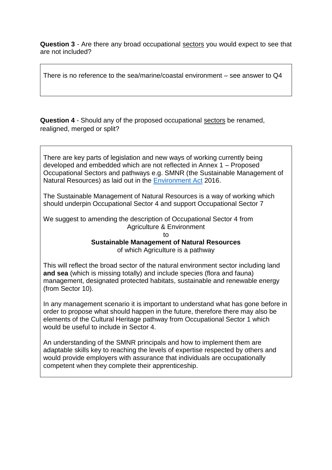**Question 3** - Are there any broad occupational sectors you would expect to see that are not included?

There is no reference to the sea/marine/coastal environment – see answer to Q4

**Question 4** - Should any of the proposed occupational sectors be renamed, realigned, merged or split?

There are key parts of legislation and new ways of working currently being developed and embedded which are not reflected in Annex 1 – Proposed Occupational Sectors and pathways e.g. SMNR (the Sustainable Management of Natural Resources) as laid out in the [Environment Act](http://www.legislation.gov.uk/anaw/2016/3/contents/enacted) 2016.

The Sustainable Management of Natural Resources is a way of working which should underpin Occupational Sector 4 and support Occupational Sector 7

We suggest to amending the description of Occupational Sector 4 from Agriculture & Environment

to **Sustainable Management of Natural Resources**

of which Agriculture is a pathway

This will reflect the broad sector of the natural environment sector including land **and sea** (which is missing totally) and include species (flora and fauna) management, designated protected habitats, sustainable and renewable energy (from Sector 10).

In any management scenario it is important to understand what has gone before in order to propose what should happen in the future, therefore there may also be elements of the Cultural Heritage pathway from Occupational Sector 1 which would be useful to include in Sector 4.

An understanding of the SMNR principals and how to implement them are adaptable skills key to reaching the levels of expertise respected by others and would provide employers with assurance that individuals are occupationally competent when they complete their apprenticeship.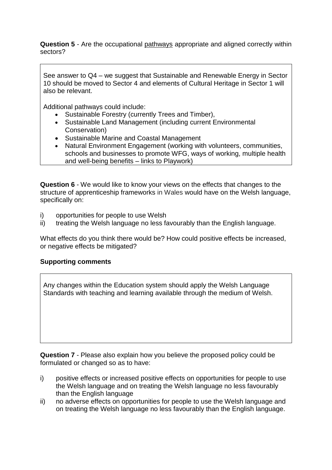**Question 5** - Are the occupational pathways appropriate and aligned correctly within sectors?

See answer to Q4 – we suggest that Sustainable and Renewable Energy in Sector 10 should be moved to Sector 4 and elements of Cultural Heritage in Sector 1 will also be relevant.

Additional pathways could include:

- Sustainable Forestry (currently Trees and Timber),
- Sustainable Land Management (including current Environmental Conservation)
- Sustainable Marine and Coastal Management
- Natural Environment Engagement (working with volunteers, communities, schools and businesses to promote WFG, ways of working, multiple health and well-being benefits – links to Playwork)

**Question 6** - We would like to know your views on the effects that changes to the structure of apprenticeship frameworks in Wales would have on the Welsh language, specifically on:

- i) opportunities for people to use Welsh
- ii) treating the Welsh language no less favourably than the English language.

What effects do you think there would be? How could positive effects be increased, or negative effects be mitigated?

## **Supporting comments**

Any changes within the Education system should apply the Welsh Language Standards with teaching and learning available through the medium of Welsh.

**Question 7** - Please also explain how you believe the proposed policy could be formulated or changed so as to have:

- i) positive effects or increased positive effects on opportunities for people to use the Welsh language and on treating the Welsh language no less favourably than the English language
- ii) no adverse effects on opportunities for people to use the Welsh language and on treating the Welsh language no less favourably than the English language.